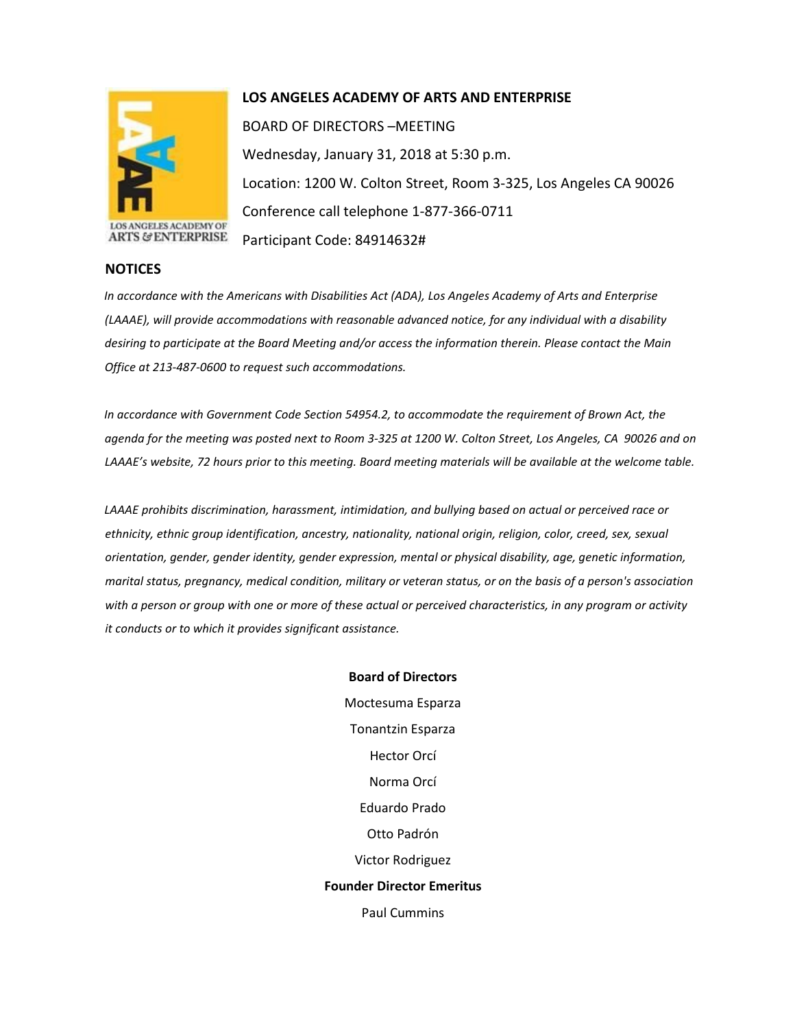

## **LOS ANGELES ACADEMY OF ARTS AND ENTERPRISE**

BOARD OF DIRECTORS –MEETING Wednesday, January 31, 2018 at 5:30 p.m. Location: 1200 W. Colton Street, Room 3-325, Los Angeles CA 90026 Conference call telephone 1-877-366-0711 Participant Code: 84914632#

*In accordance with the Americans with Disabilities Act (ADA), Los Angeles Academy of Arts and Enterprise (LAAAE), will provide accommodations with reasonable advanced notice, for any individual with a disability desiring to participate at the Board Meeting and/or access the information therein. Please contact the Main Office at 213-487-0600 to request such accommodations.* 

*In accordance with Government Code Section 54954.2, to accommodate the requirement of Brown Act, the agenda for the meeting was posted next to Room 3-325 at 1200 W. Colton Street, Los Angeles, CA 90026 and on LAAAE's website, 72 hours prior to this meeting. Board meeting materials will be available at the welcome table.* 

*LAAAE prohibits discrimination, harassment, intimidation, and bullying based on actual or perceived race or ethnicity, ethnic group identification, ancestry, nationality, national origin, religion, color, creed, sex, sexual orientation, gender, gender identity, gender expression, mental or physical disability, age, genetic information, marital status, pregnancy, medical condition, military or veteran status, or on the basis of a person's association with a person or group with one or more of these actual or perceived characteristics, in any program or activity it conducts or to which it provides significant assistance.* 

> **Board of Directors** Moctesuma Esparza Tonantzin Esparza Hector Orcí Norma Orcí Eduardo Prado Otto Padrón Victor Rodriguez **Founder Director Emeritus** Paul Cummins

## **NOTICES**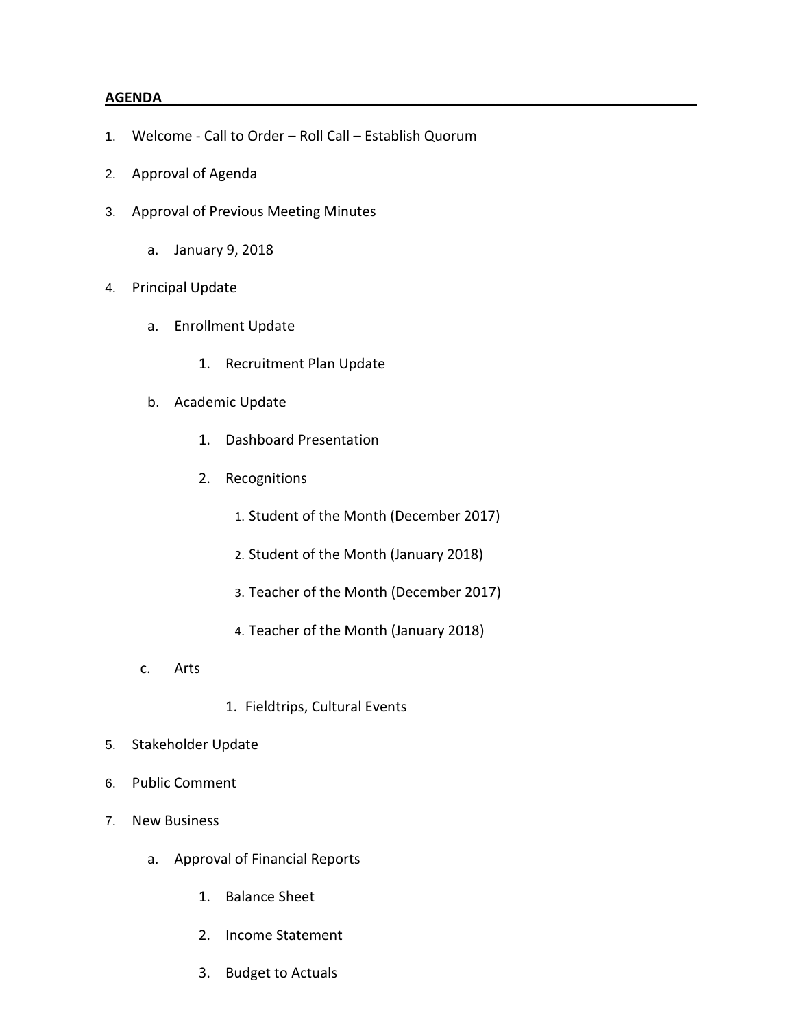## **AGENDA\_\_\_\_\_\_\_\_\_\_\_\_\_\_\_\_\_\_\_\_\_\_\_\_\_\_\_\_\_\_\_\_\_\_\_\_\_\_\_\_\_\_\_\_\_\_\_\_\_\_\_\_\_\_\_\_\_\_\_\_\_\_\_\_\_\_\_\_\_**

- 1. Welcome Call to Order Roll Call Establish Quorum
- 2. Approval of Agenda
- 3. Approval of Previous Meeting Minutes
	- a. January 9, 2018
- 4. Principal Update
	- a. Enrollment Update
		- 1. Recruitment Plan Update
	- b. Academic Update
		- 1. Dashboard Presentation
		- 2. Recognitions
			- 1. Student of the Month (December 2017)
			- 2. Student of the Month (January 2018)
			- 3. Teacher of the Month (December 2017)
			- 4. Teacher of the Month (January 2018)
	- c. Arts
- 1. Fieldtrips, Cultural Events
- 5. Stakeholder Update
- 6. Public Comment
- 7. New Business
	- a. Approval of Financial Reports
		- 1. Balance Sheet
		- 2. Income Statement
		- 3. Budget to Actuals